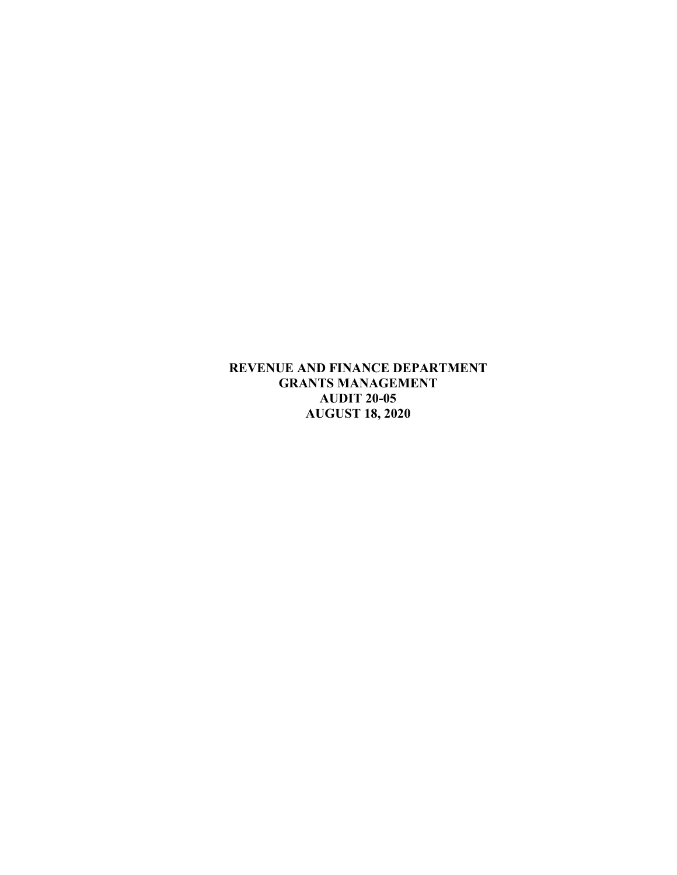**REVENUE AND FINANCE DEPARTMENT GRANTS MANAGEMENT AUDIT 20-05 AUGUST 18, 2020**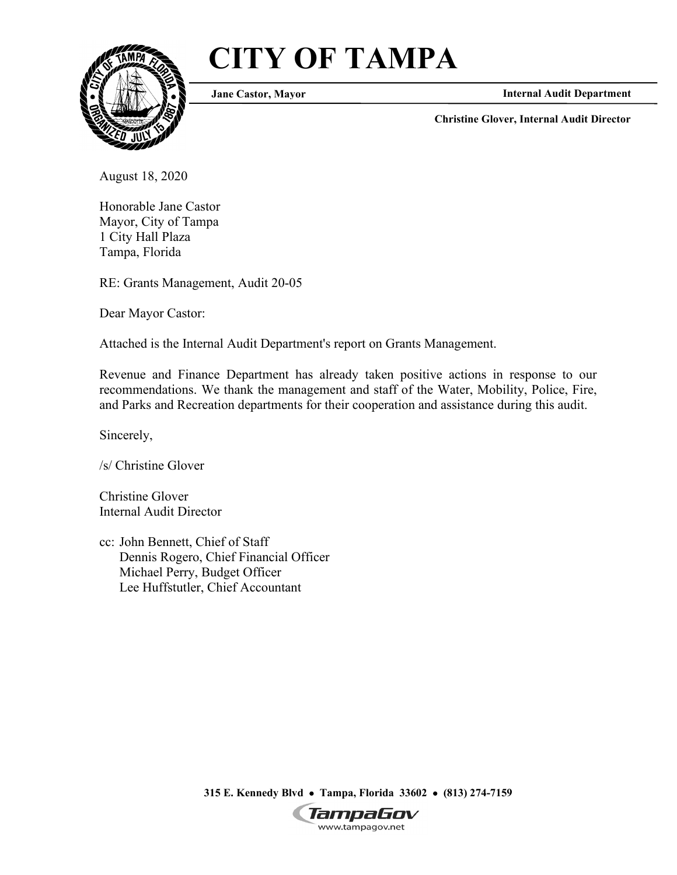# **CITY OF TAMPA**



**Jane Castor, Mayor**

**Internal Audit Department**

**Christine Glover, Internal Audit Director**

August 18, 2020

Honorable Jane Castor Mayor, City of Tampa 1 City Hall Plaza Tampa, Florida

RE: Grants Management, Audit 20-05

Dear Mayor Castor:

Attached is the Internal Audit Department's report on Grants Management.

Revenue and Finance Department has already taken positive actions in response to our recommendations. We thank the management and staff of the Water, Mobility, Police, Fire, and Parks and Recreation departments for their cooperation and assistance during this audit.

Sincerely,

/s/ Christine Glover

Christine Glover Internal Audit Director

cc: John Bennett, Chief of Staff Dennis Rogero, Chief Financial Officer Michael Perry, Budget Officer Lee Huffstutler, Chief Accountant

**315 E. Kennedy Blvd** • **Tampa, Florida 33602** • **(813) 274-7159**

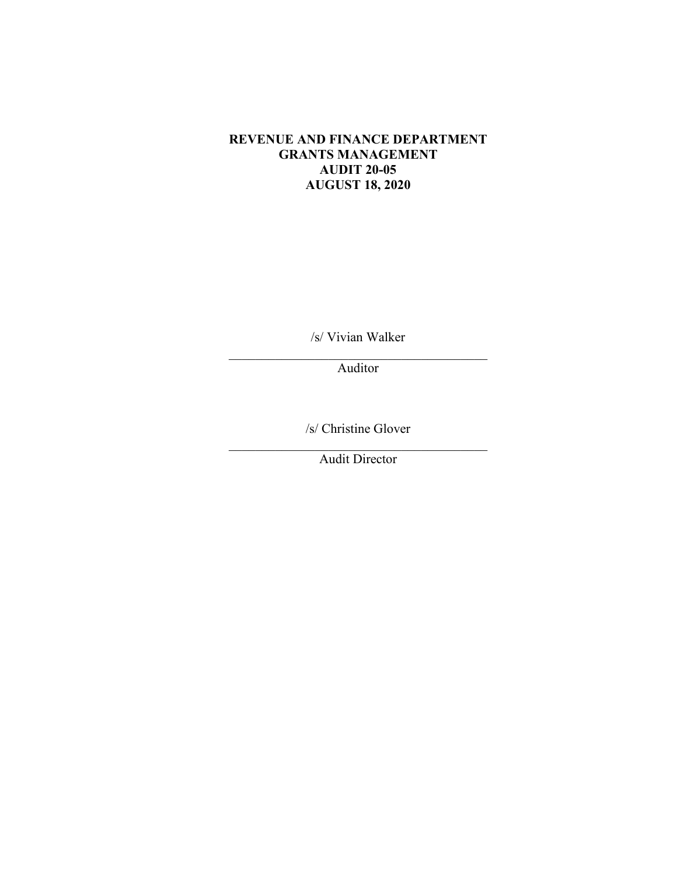#### **REVENUE AND FINANCE DEPARTMENT GRANTS MANAGEMENT AUDIT 20-05 AUGUST 18, 2020**

/s/ Vivian Walker

\_\_\_\_\_\_\_\_\_\_\_\_\_\_\_\_\_\_\_\_\_\_\_\_\_\_\_\_\_\_\_\_\_\_\_\_\_\_\_ Auditor

/s/ Christine Glover

 $\mathcal{L}_\text{max}$  and  $\mathcal{L}_\text{max}$  and  $\mathcal{L}_\text{max}$  and  $\mathcal{L}_\text{max}$ Audit Director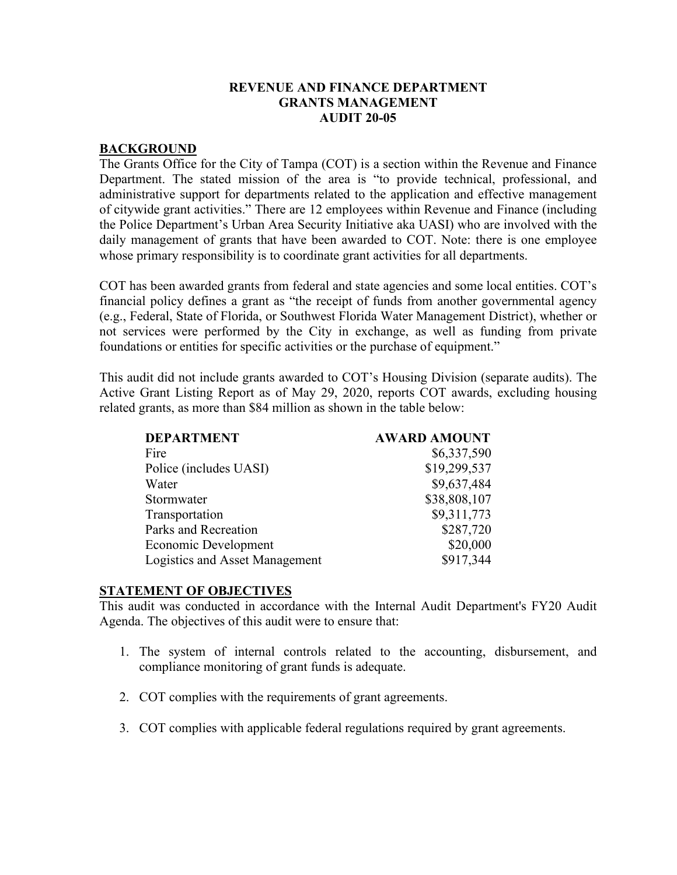#### **REVENUE AND FINANCE DEPARTMENT GRANTS MANAGEMENT AUDIT 20-05**

#### **BACKGROUND**

The Grants Office for the City of Tampa (COT) is a section within the Revenue and Finance Department. The stated mission of the area is "to provide technical, professional, and administrative support for departments related to the application and effective management of citywide grant activities." There are 12 employees within Revenue and Finance (including the Police Department's Urban Area Security Initiative aka UASI) who are involved with the daily management of grants that have been awarded to COT. Note: there is one employee whose primary responsibility is to coordinate grant activities for all departments.

COT has been awarded grants from federal and state agencies and some local entities. COT's financial policy defines a grant as "the receipt of funds from another governmental agency (e.g., Federal, State of Florida, or Southwest Florida Water Management District), whether or not services were performed by the City in exchange, as well as funding from private foundations or entities for specific activities or the purchase of equipment."

This audit did not include grants awarded to COT's Housing Division (separate audits). The Active Grant Listing Report as of May 29, 2020, reports COT awards, excluding housing related grants, as more than \$84 million as shown in the table below:

| <b>DEPARTMENT</b>                     | <b>AWARD AMOUNT</b> |
|---------------------------------------|---------------------|
| Fire                                  | \$6,337,590         |
| Police (includes UASI)                | \$19,299,537        |
| Water                                 | \$9,637,484         |
| Stormwater                            | \$38,808,107        |
| Transportation                        | \$9,311,773         |
| Parks and Recreation                  | \$287,720           |
| Economic Development                  | \$20,000            |
| <b>Logistics and Asset Management</b> | \$917,344           |

#### **STATEMENT OF OBJECTIVES**

This audit was conducted in accordance with the Internal Audit Department's FY20 Audit Agenda. The objectives of this audit were to ensure that:

- 1. The system of internal controls related to the accounting, disbursement, and compliance monitoring of grant funds is adequate.
- 2. COT complies with the requirements of grant agreements.
- 3. COT complies with applicable federal regulations required by grant agreements.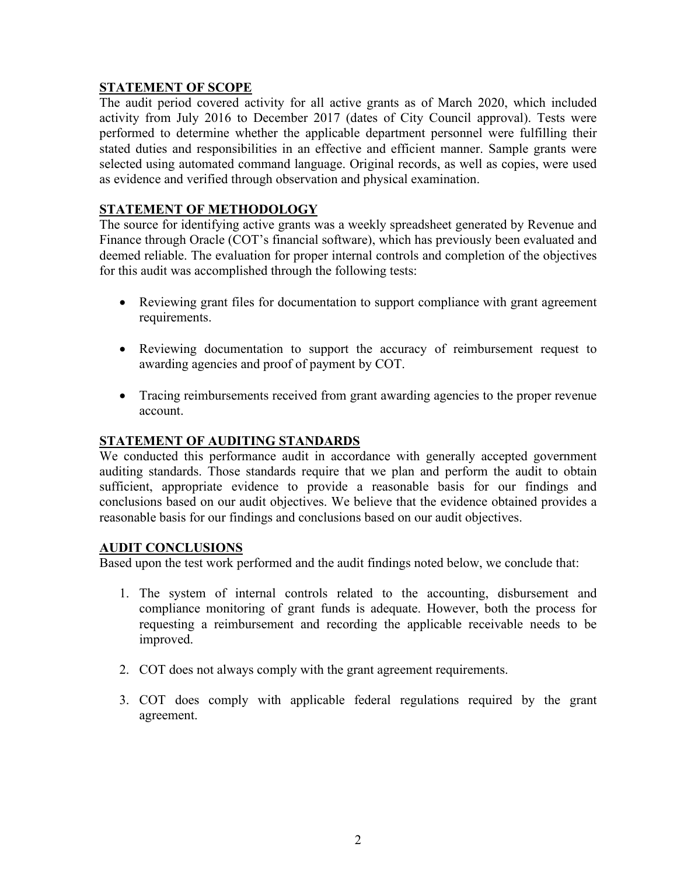## **STATEMENT OF SCOPE**

The audit period covered activity for all active grants as of March 2020, which included activity from July 2016 to December 2017 (dates of City Council approval). Tests were performed to determine whether the applicable department personnel were fulfilling their stated duties and responsibilities in an effective and efficient manner. Sample grants were selected using automated command language. Original records, as well as copies, were used as evidence and verified through observation and physical examination.

# **STATEMENT OF METHODOLOGY**

The source for identifying active grants was a weekly spreadsheet generated by Revenue and Finance through Oracle (COT's financial software), which has previously been evaluated and deemed reliable. The evaluation for proper internal controls and completion of the objectives for this audit was accomplished through the following tests:

- Reviewing grant files for documentation to support compliance with grant agreement requirements.
- Reviewing documentation to support the accuracy of reimbursement request to awarding agencies and proof of payment by COT.
- Tracing reimbursements received from grant awarding agencies to the proper revenue account.

## **STATEMENT OF AUDITING STANDARDS**

We conducted this performance audit in accordance with generally accepted government auditing standards. Those standards require that we plan and perform the audit to obtain sufficient, appropriate evidence to provide a reasonable basis for our findings and conclusions based on our audit objectives. We believe that the evidence obtained provides a reasonable basis for our findings and conclusions based on our audit objectives.

#### **AUDIT CONCLUSIONS**

Based upon the test work performed and the audit findings noted below, we conclude that:

- 1. The system of internal controls related to the accounting, disbursement and compliance monitoring of grant funds is adequate. However, both the process for requesting a reimbursement and recording the applicable receivable needs to be improved.
- 2. COT does not always comply with the grant agreement requirements.
- 3. COT does comply with applicable federal regulations required by the grant agreement.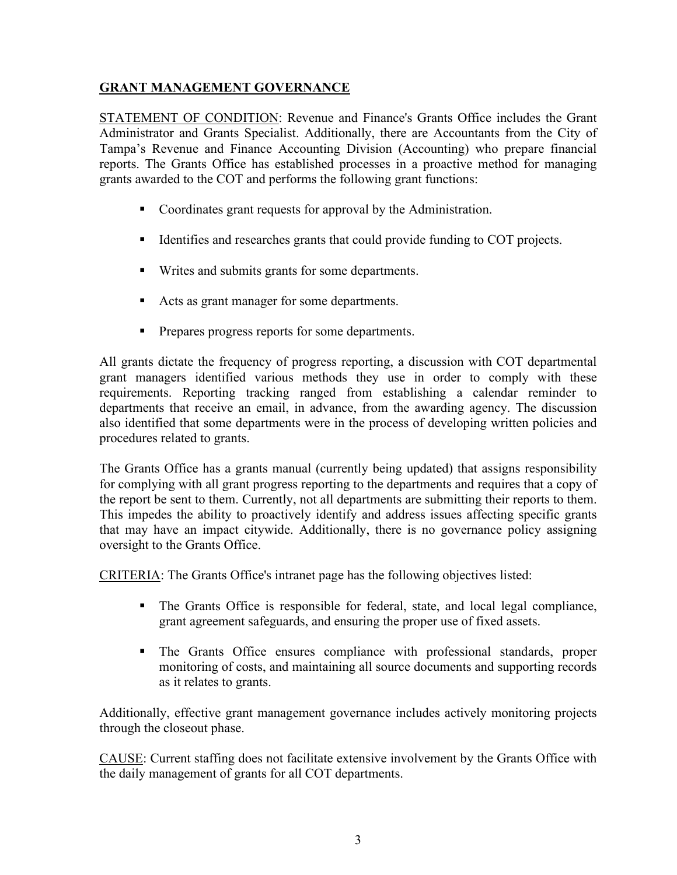# **GRANT MANAGEMENT GOVERNANCE**

STATEMENT OF CONDITION: Revenue and Finance's Grants Office includes the Grant Administrator and Grants Specialist. Additionally, there are Accountants from the City of Tampa's Revenue and Finance Accounting Division (Accounting) who prepare financial reports. The Grants Office has established processes in a proactive method for managing grants awarded to the COT and performs the following grant functions:

- Coordinates grant requests for approval by the Administration.
- Identifies and researches grants that could provide funding to COT projects.
- Writes and submits grants for some departments.
- Acts as grant manager for some departments.
- **Prepares progress reports for some departments.**

All grants dictate the frequency of progress reporting, a discussion with COT departmental grant managers identified various methods they use in order to comply with these requirements. Reporting tracking ranged from establishing a calendar reminder to departments that receive an email, in advance, from the awarding agency. The discussion also identified that some departments were in the process of developing written policies and procedures related to grants.

The Grants Office has a grants manual (currently being updated) that assigns responsibility for complying with all grant progress reporting to the departments and requires that a copy of the report be sent to them. Currently, not all departments are submitting their reports to them. This impedes the ability to proactively identify and address issues affecting specific grants that may have an impact citywide. Additionally, there is no governance policy assigning oversight to the Grants Office.

CRITERIA: The Grants Office's intranet page has the following objectives listed:

- The Grants Office is responsible for federal, state, and local legal compliance, grant agreement safeguards, and ensuring the proper use of fixed assets.
- The Grants Office ensures compliance with professional standards, proper monitoring of costs, and maintaining all source documents and supporting records as it relates to grants.

Additionally, effective grant management governance includes actively monitoring projects through the closeout phase.

CAUSE: Current staffing does not facilitate extensive involvement by the Grants Office with the daily management of grants for all COT departments.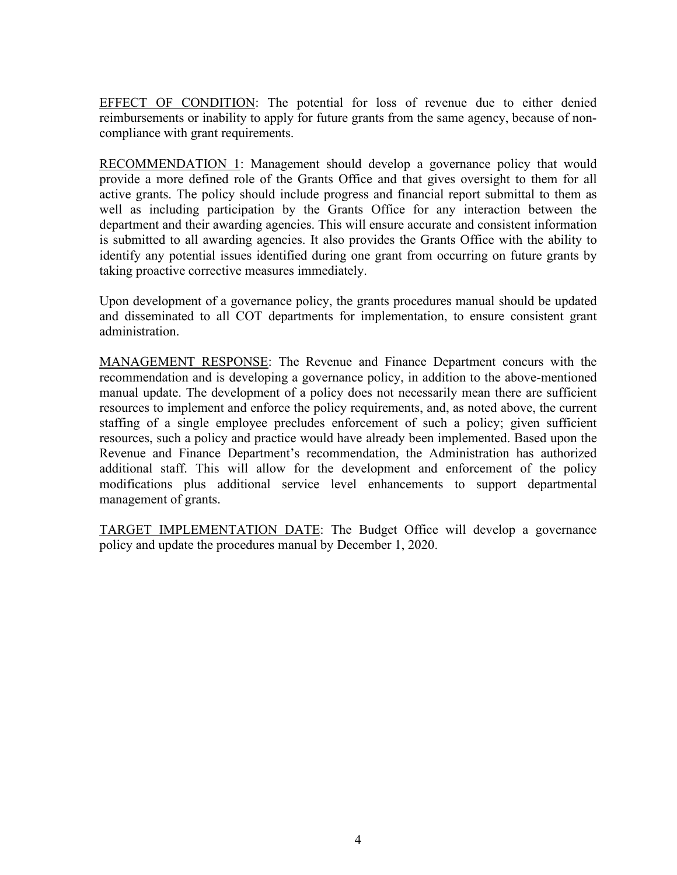EFFECT OF CONDITION: The potential for loss of revenue due to either denied reimbursements or inability to apply for future grants from the same agency, because of noncompliance with grant requirements.

RECOMMENDATION 1: Management should develop a governance policy that would provide a more defined role of the Grants Office and that gives oversight to them for all active grants. The policy should include progress and financial report submittal to them as well as including participation by the Grants Office for any interaction between the department and their awarding agencies. This will ensure accurate and consistent information is submitted to all awarding agencies. It also provides the Grants Office with the ability to identify any potential issues identified during one grant from occurring on future grants by taking proactive corrective measures immediately.

Upon development of a governance policy, the grants procedures manual should be updated and disseminated to all COT departments for implementation, to ensure consistent grant administration.

MANAGEMENT RESPONSE: The Revenue and Finance Department concurs with the recommendation and is developing a governance policy, in addition to the above-mentioned manual update. The development of a policy does not necessarily mean there are sufficient resources to implement and enforce the policy requirements, and, as noted above, the current staffing of a single employee precludes enforcement of such a policy; given sufficient resources, such a policy and practice would have already been implemented. Based upon the Revenue and Finance Department's recommendation, the Administration has authorized additional staff. This will allow for the development and enforcement of the policy modifications plus additional service level enhancements to support departmental management of grants.

TARGET IMPLEMENTATION DATE: The Budget Office will develop a governance policy and update the procedures manual by December 1, 2020.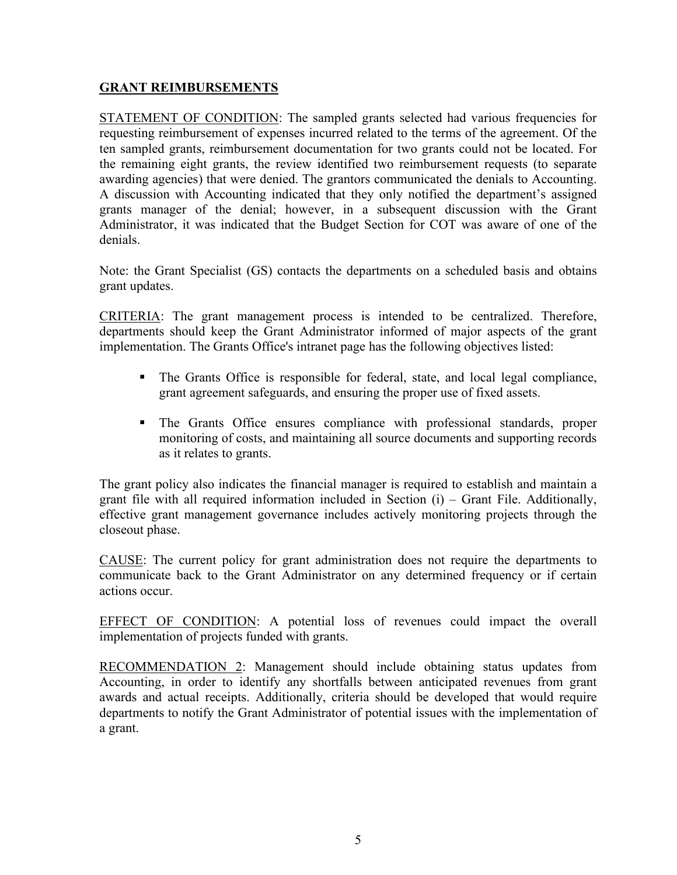#### **GRANT REIMBURSEMENTS**

STATEMENT OF CONDITION: The sampled grants selected had various frequencies for requesting reimbursement of expenses incurred related to the terms of the agreement. Of the ten sampled grants, reimbursement documentation for two grants could not be located. For the remaining eight grants, the review identified two reimbursement requests (to separate awarding agencies) that were denied. The grantors communicated the denials to Accounting. A discussion with Accounting indicated that they only notified the department's assigned grants manager of the denial; however, in a subsequent discussion with the Grant Administrator, it was indicated that the Budget Section for COT was aware of one of the denials.

Note: the Grant Specialist (GS) contacts the departments on a scheduled basis and obtains grant updates.

CRITERIA: The grant management process is intended to be centralized. Therefore, departments should keep the Grant Administrator informed of major aspects of the grant implementation. The Grants Office's intranet page has the following objectives listed:

- The Grants Office is responsible for federal, state, and local legal compliance, grant agreement safeguards, and ensuring the proper use of fixed assets.
- The Grants Office ensures compliance with professional standards, proper monitoring of costs, and maintaining all source documents and supporting records as it relates to grants.

The grant policy also indicates the financial manager is required to establish and maintain a grant file with all required information included in Section (i) – Grant File. Additionally, effective grant management governance includes actively monitoring projects through the closeout phase.

CAUSE: The current policy for grant administration does not require the departments to communicate back to the Grant Administrator on any determined frequency or if certain actions occur.

EFFECT OF CONDITION: A potential loss of revenues could impact the overall implementation of projects funded with grants.

RECOMMENDATION 2: Management should include obtaining status updates from Accounting, in order to identify any shortfalls between anticipated revenues from grant awards and actual receipts. Additionally, criteria should be developed that would require departments to notify the Grant Administrator of potential issues with the implementation of a grant.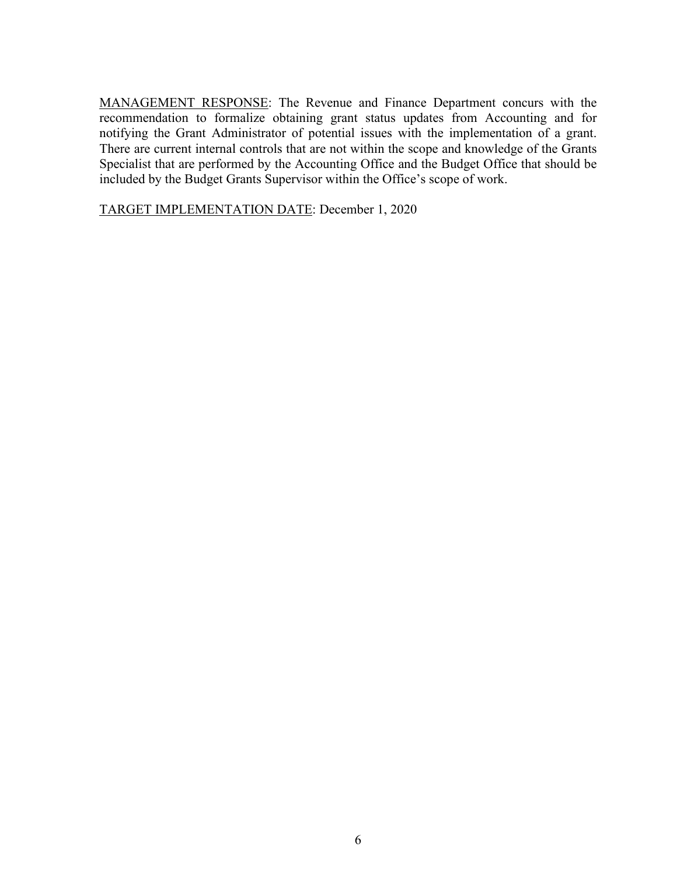MANAGEMENT RESPONSE: The Revenue and Finance Department concurs with the recommendation to formalize obtaining grant status updates from Accounting and for notifying the Grant Administrator of potential issues with the implementation of a grant. There are current internal controls that are not within the scope and knowledge of the Grants Specialist that are performed by the Accounting Office and the Budget Office that should be included by the Budget Grants Supervisor within the Office's scope of work.

TARGET IMPLEMENTATION DATE: December 1, 2020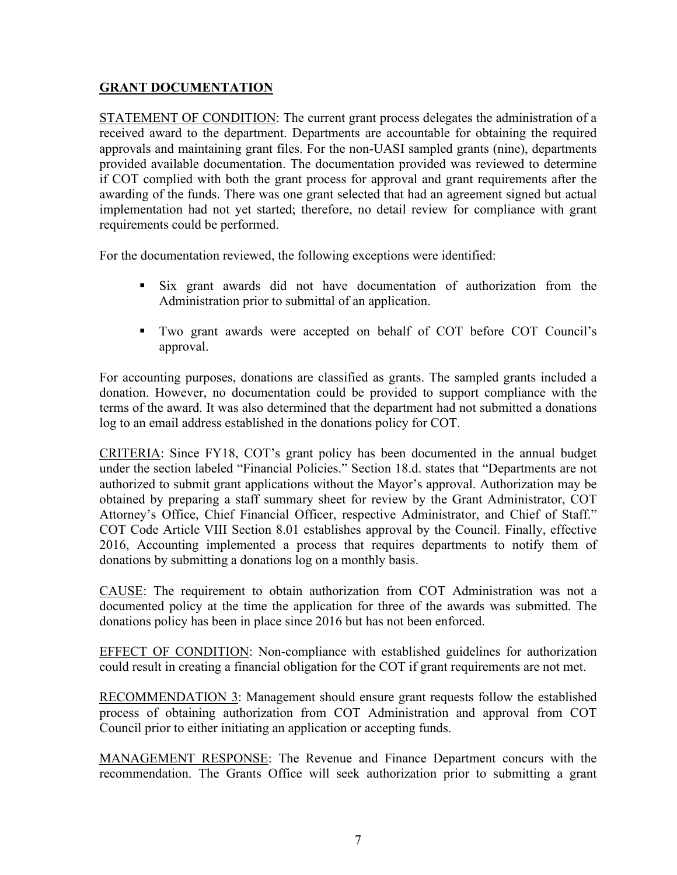# **GRANT DOCUMENTATION**

STATEMENT OF CONDITION: The current grant process delegates the administration of a received award to the department. Departments are accountable for obtaining the required approvals and maintaining grant files. For the non-UASI sampled grants (nine), departments provided available documentation. The documentation provided was reviewed to determine if COT complied with both the grant process for approval and grant requirements after the awarding of the funds. There was one grant selected that had an agreement signed but actual implementation had not yet started; therefore, no detail review for compliance with grant requirements could be performed.

For the documentation reviewed, the following exceptions were identified:

- Six grant awards did not have documentation of authorization from the Administration prior to submittal of an application.
- Two grant awards were accepted on behalf of COT before COT Council's approval.

For accounting purposes, donations are classified as grants. The sampled grants included a donation. However, no documentation could be provided to support compliance with the terms of the award. It was also determined that the department had not submitted a donations log to an email address established in the donations policy for COT.

CRITERIA: Since FY18, COT's grant policy has been documented in the annual budget under the section labeled "Financial Policies." Section 18.d. states that "Departments are not authorized to submit grant applications without the Mayor's approval. Authorization may be obtained by preparing a staff summary sheet for review by the Grant Administrator, COT Attorney's Office, Chief Financial Officer, respective Administrator, and Chief of Staff." COT Code Article VIII Section 8.01 establishes approval by the Council. Finally, effective 2016, Accounting implemented a process that requires departments to notify them of donations by submitting a donations log on a monthly basis.

CAUSE: The requirement to obtain authorization from COT Administration was not a documented policy at the time the application for three of the awards was submitted. The donations policy has been in place since 2016 but has not been enforced.

EFFECT OF CONDITION: Non-compliance with established guidelines for authorization could result in creating a financial obligation for the COT if grant requirements are not met.

RECOMMENDATION 3: Management should ensure grant requests follow the established process of obtaining authorization from COT Administration and approval from COT Council prior to either initiating an application or accepting funds.

MANAGEMENT RESPONSE: The Revenue and Finance Department concurs with the recommendation. The Grants Office will seek authorization prior to submitting a grant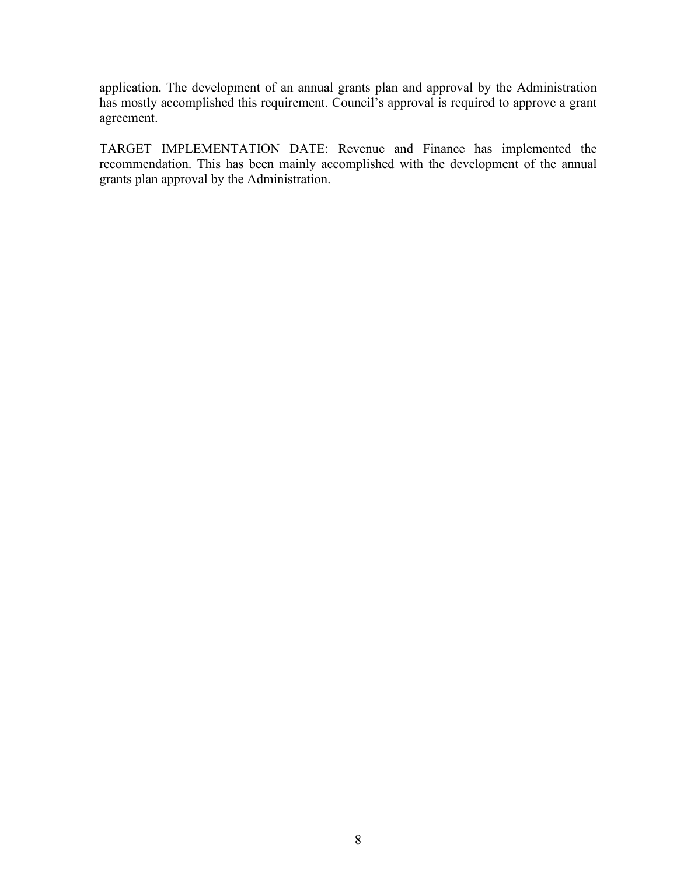application. The development of an annual grants plan and approval by the Administration has mostly accomplished this requirement. Council's approval is required to approve a grant agreement.

TARGET IMPLEMENTATION DATE: Revenue and Finance has implemented the recommendation. This has been mainly accomplished with the development of the annual grants plan approval by the Administration.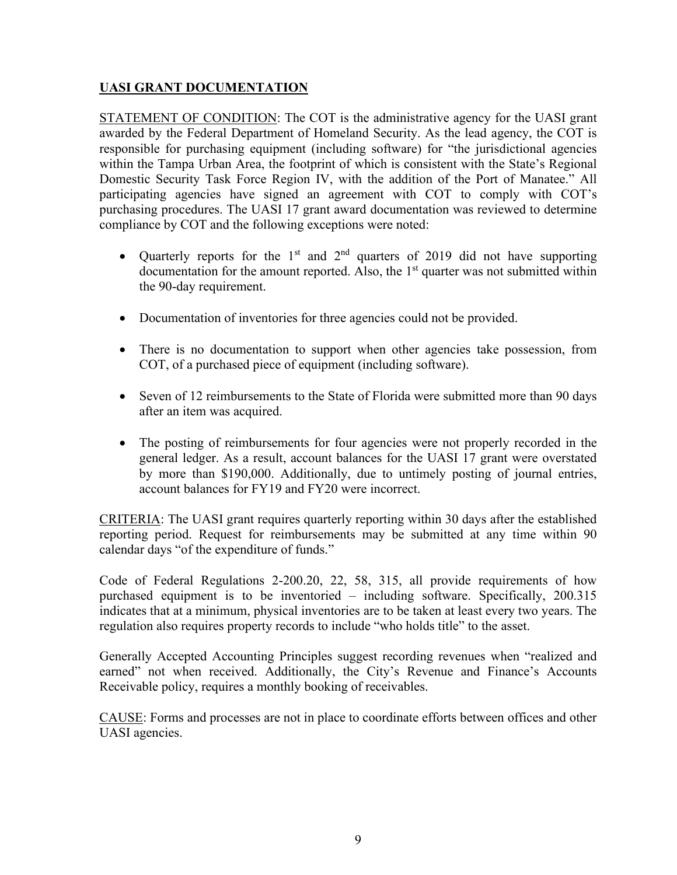# **UASI GRANT DOCUMENTATION**

STATEMENT OF CONDITION: The COT is the administrative agency for the UASI grant awarded by the Federal Department of Homeland Security. As the lead agency, the COT is responsible for purchasing equipment (including software) for "the jurisdictional agencies within the Tampa Urban Area, the footprint of which is consistent with the State's Regional Domestic Security Task Force Region IV, with the addition of the Port of Manatee." All participating agencies have signed an agreement with COT to comply with COT's purchasing procedures. The UASI 17 grant award documentation was reviewed to determine compliance by COT and the following exceptions were noted:

- Quarterly reports for the 1<sup>st</sup> and  $2<sup>nd</sup>$  quarters of 2019 did not have supporting documentation for the amount reported. Also, the  $1<sup>st</sup>$  quarter was not submitted within the 90-day requirement.
- Documentation of inventories for three agencies could not be provided.
- There is no documentation to support when other agencies take possession, from COT, of a purchased piece of equipment (including software).
- Seven of 12 reimbursements to the State of Florida were submitted more than 90 days after an item was acquired.
- The posting of reimbursements for four agencies were not properly recorded in the general ledger. As a result, account balances for the UASI 17 grant were overstated by more than \$190,000. Additionally, due to untimely posting of journal entries, account balances for FY19 and FY20 were incorrect.

CRITERIA: The UASI grant requires quarterly reporting within 30 days after the established reporting period. Request for reimbursements may be submitted at any time within 90 calendar days "of the expenditure of funds."

Code of Federal Regulations 2-200.20, 22, 58, 315, all provide requirements of how purchased equipment is to be inventoried – including software. Specifically, 200.315 indicates that at a minimum, physical inventories are to be taken at least every two years. The regulation also requires property records to include "who holds title" to the asset.

Generally Accepted Accounting Principles suggest recording revenues when "realized and earned" not when received. Additionally, the City's Revenue and Finance's Accounts Receivable policy, requires a monthly booking of receivables.

CAUSE: Forms and processes are not in place to coordinate efforts between offices and other UASI agencies.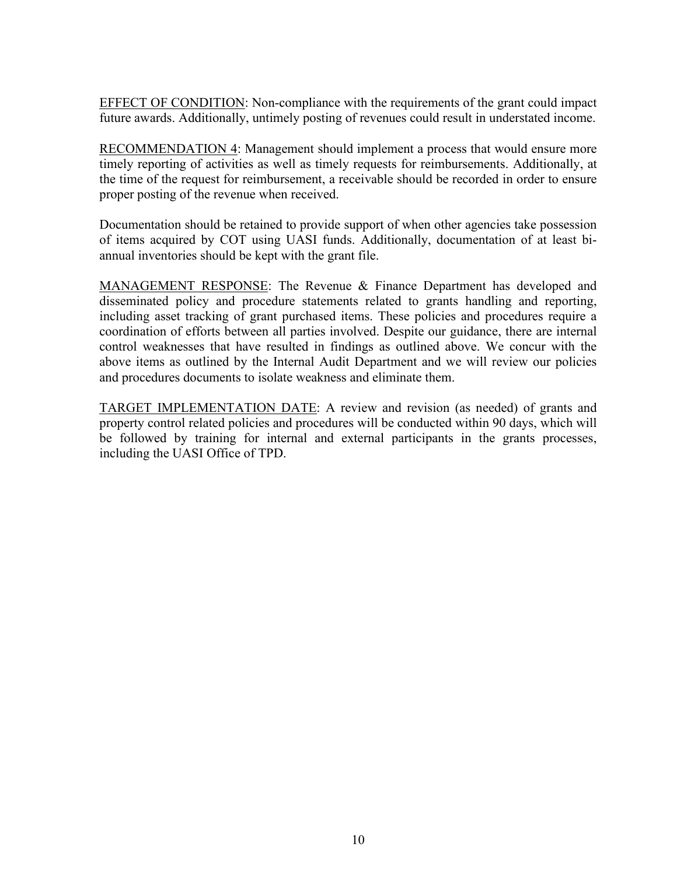EFFECT OF CONDITION: Non-compliance with the requirements of the grant could impact future awards. Additionally, untimely posting of revenues could result in understated income.

RECOMMENDATION 4: Management should implement a process that would ensure more timely reporting of activities as well as timely requests for reimbursements. Additionally, at the time of the request for reimbursement, a receivable should be recorded in order to ensure proper posting of the revenue when received.

Documentation should be retained to provide support of when other agencies take possession of items acquired by COT using UASI funds. Additionally, documentation of at least biannual inventories should be kept with the grant file.

MANAGEMENT RESPONSE: The Revenue & Finance Department has developed and disseminated policy and procedure statements related to grants handling and reporting, including asset tracking of grant purchased items. These policies and procedures require a coordination of efforts between all parties involved. Despite our guidance, there are internal control weaknesses that have resulted in findings as outlined above. We concur with the above items as outlined by the Internal Audit Department and we will review our policies and procedures documents to isolate weakness and eliminate them.

TARGET IMPLEMENTATION DATE: A review and revision (as needed) of grants and property control related policies and procedures will be conducted within 90 days, which will be followed by training for internal and external participants in the grants processes, including the UASI Office of TPD.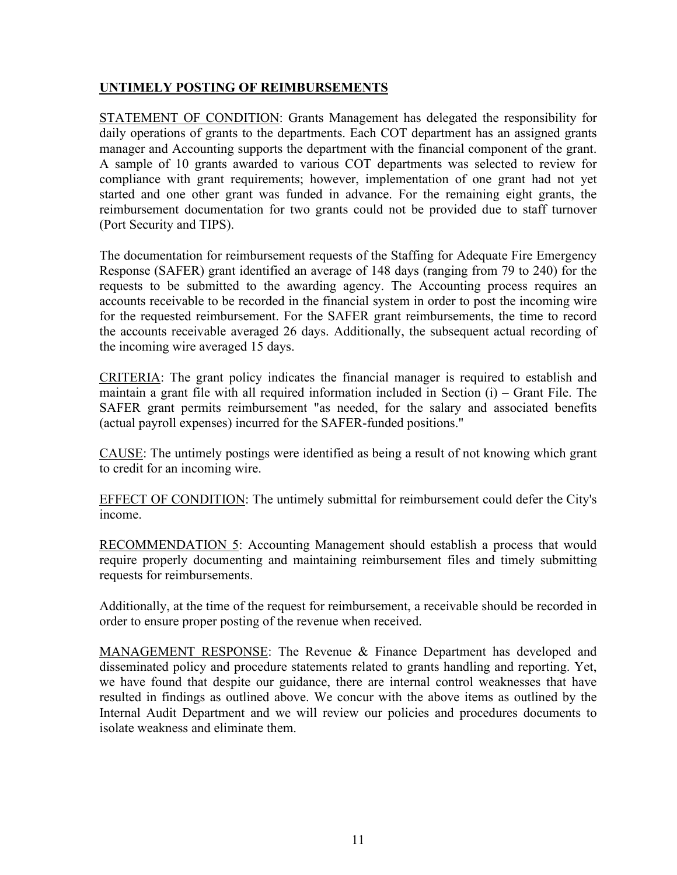# **UNTIMELY POSTING OF REIMBURSEMENTS**

STATEMENT OF CONDITION: Grants Management has delegated the responsibility for daily operations of grants to the departments. Each COT department has an assigned grants manager and Accounting supports the department with the financial component of the grant. A sample of 10 grants awarded to various COT departments was selected to review for compliance with grant requirements; however, implementation of one grant had not yet started and one other grant was funded in advance. For the remaining eight grants, the reimbursement documentation for two grants could not be provided due to staff turnover (Port Security and TIPS).

The documentation for reimbursement requests of the Staffing for Adequate Fire Emergency Response (SAFER) grant identified an average of 148 days (ranging from 79 to 240) for the requests to be submitted to the awarding agency. The Accounting process requires an accounts receivable to be recorded in the financial system in order to post the incoming wire for the requested reimbursement. For the SAFER grant reimbursements, the time to record the accounts receivable averaged 26 days. Additionally, the subsequent actual recording of the incoming wire averaged 15 days.

CRITERIA: The grant policy indicates the financial manager is required to establish and maintain a grant file with all required information included in Section (i) – Grant File. The SAFER grant permits reimbursement "as needed, for the salary and associated benefits (actual payroll expenses) incurred for the SAFER-funded positions."

CAUSE: The untimely postings were identified as being a result of not knowing which grant to credit for an incoming wire.

EFFECT OF CONDITION: The untimely submittal for reimbursement could defer the City's income.

RECOMMENDATION 5: Accounting Management should establish a process that would require properly documenting and maintaining reimbursement files and timely submitting requests for reimbursements.

Additionally, at the time of the request for reimbursement, a receivable should be recorded in order to ensure proper posting of the revenue when received.

MANAGEMENT RESPONSE: The Revenue & Finance Department has developed and disseminated policy and procedure statements related to grants handling and reporting. Yet, we have found that despite our guidance, there are internal control weaknesses that have resulted in findings as outlined above. We concur with the above items as outlined by the Internal Audit Department and we will review our policies and procedures documents to isolate weakness and eliminate them.